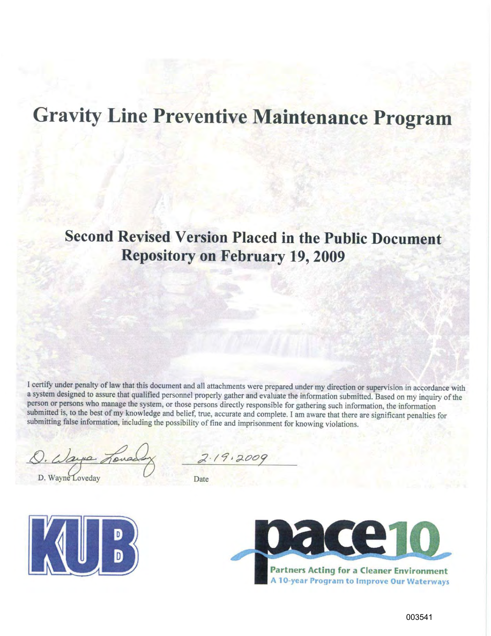# **Gravity Line Preventive Maintenance Program**

# **Second Revised Version Placed in the Public Document Repository on February 19, 2009**

I certify under penalty of law that this document and all attachments were prepared under my direction or supervision in accordance with a system designed to assure that qualified personnel properly gather and evaluate the information submitted. Based on my inquiry of the person or persons who manage the system, or those persons directly responsible for gathering such information, the information submitted is, to the best of my knowledge and belief, true, accurate and complete. I am aware that there are significant penalties for submitting false information, including the possibility of fine and imprisonment for knowing violations.

1. Ways Tone

D. Wayne Loveday

 $2.19.2009$ 

Date



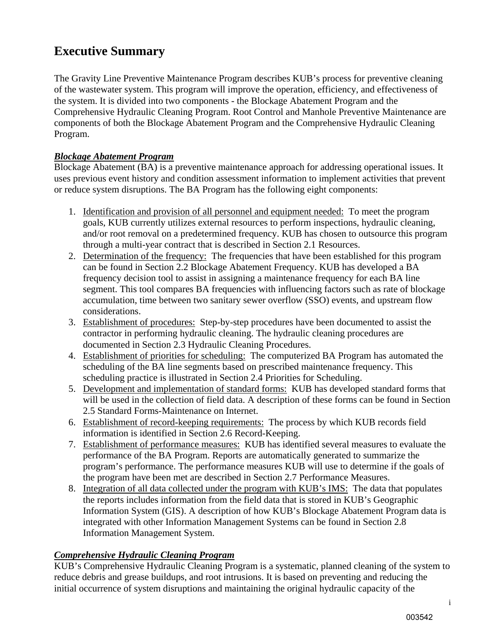# **Executive Summary**

The Gravity Line Preventive Maintenance Program describes KUB's process for preventive cleaning of the wastewater system. This program will improve the operation, efficiency, and effectiveness of the system. It is divided into two components - the Blockage Abatement Program and the Comprehensive Hydraulic Cleaning Program. Root Control and Manhole Preventive Maintenance are components of both the Blockage Abatement Program and the Comprehensive Hydraulic Cleaning Program.

### *Blockage Abatement Program*

Blockage Abatement (BA) is a preventive maintenance approach for addressing operational issues. It uses previous event history and condition assessment information to implement activities that prevent or reduce system disruptions. The BA Program has the following eight components:

- 1. Identification and provision of all personnel and equipment needed: To meet the program goals, KUB currently utilizes external resources to perform inspections, hydraulic cleaning, and/or root removal on a predetermined frequency. KUB has chosen to outsource this program through a multi-year contract that is described in Section 2.1 Resources.
- 2. Determination of the frequency: The frequencies that have been established for this program can be found in Section 2.2 Blockage Abatement Frequency. KUB has developed a BA frequency decision tool to assist in assigning a maintenance frequency for each BA line segment. This tool compares BA frequencies with influencing factors such as rate of blockage accumulation, time between two sanitary sewer overflow (SSO) events, and upstream flow considerations.
- 3. Establishment of procedures: Step-by-step procedures have been documented to assist the contractor in performing hydraulic cleaning. The hydraulic cleaning procedures are documented in Section 2.3 Hydraulic Cleaning Procedures.
- 4. Establishment of priorities for scheduling: The computerized BA Program has automated the scheduling of the BA line segments based on prescribed maintenance frequency. This scheduling practice is illustrated in Section 2.4 Priorities for Scheduling.
- 5. Development and implementation of standard forms: KUB has developed standard forms that will be used in the collection of field data. A description of these forms can be found in Section 2.5 Standard Forms-Maintenance on Internet.
- 6. Establishment of record-keeping requirements: The process by which KUB records field information is identified in Section 2.6 Record-Keeping.
- 7. Establishment of performance measures: KUB has identified several measures to evaluate the performance of the BA Program. Reports are automatically generated to summarize the program's performance. The performance measures KUB will use to determine if the goals of the program have been met are described in Section 2.7 Performance Measures.
- 8. Integration of all data collected under the program with KUB's IMS: The data that populates the reports includes information from the field data that is stored in KUB's Geographic Information System (GIS). A description of how KUB's Blockage Abatement Program data is integrated with other Information Management Systems can be found in Section 2.8 Information Management System.

# *Comprehensive Hydraulic Cleaning Program*

KUB's Comprehensive Hydraulic Cleaning Program is a systematic, planned cleaning of the system to reduce debris and grease buildups, and root intrusions. It is based on preventing and reducing the initial occurrence of system disruptions and maintaining the original hydraulic capacity of the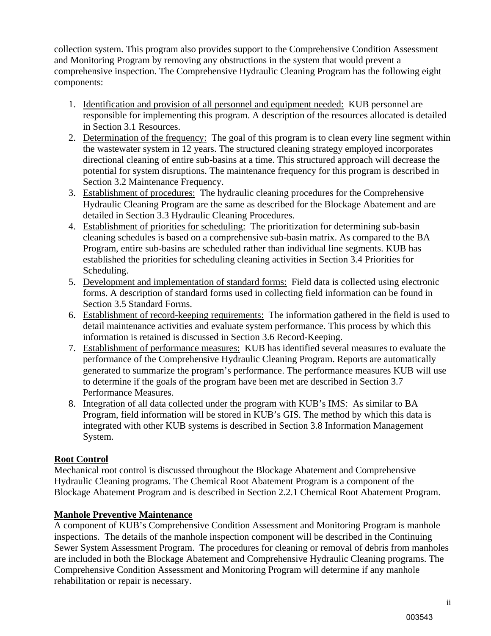collection system. This program also provides support to the Comprehensive Condition Assessment and Monitoring Program by removing any obstructions in the system that would prevent a comprehensive inspection. The Comprehensive Hydraulic Cleaning Program has the following eight components:

- 1. Identification and provision of all personnel and equipment needed: KUB personnel are responsible for implementing this program. A description of the resources allocated is detailed in Section 3.1 Resources.
- 2. Determination of the frequency: The goal of this program is to clean every line segment within the wastewater system in 12 years. The structured cleaning strategy employed incorporates directional cleaning of entire sub-basins at a time. This structured approach will decrease the potential for system disruptions. The maintenance frequency for this program is described in Section 3.2 Maintenance Frequency.
- 3. Establishment of procedures: The hydraulic cleaning procedures for the Comprehensive Hydraulic Cleaning Program are the same as described for the Blockage Abatement and are detailed in Section 3.3 Hydraulic Cleaning Procedures.
- 4. Establishment of priorities for scheduling: The prioritization for determining sub-basin cleaning schedules is based on a comprehensive sub-basin matrix. As compared to the BA Program, entire sub-basins are scheduled rather than individual line segments. KUB has established the priorities for scheduling cleaning activities in Section 3.4 Priorities for Scheduling.
- 5. Development and implementation of standard forms: Field data is collected using electronic forms. A description of standard forms used in collecting field information can be found in Section 3.5 Standard Forms.
- 6. Establishment of record-keeping requirements: The information gathered in the field is used to detail maintenance activities and evaluate system performance. This process by which this information is retained is discussed in Section 3.6 Record-Keeping.
- 7. Establishment of performance measures: KUB has identified several measures to evaluate the performance of the Comprehensive Hydraulic Cleaning Program. Reports are automatically generated to summarize the program's performance. The performance measures KUB will use to determine if the goals of the program have been met are described in Section 3.7 Performance Measures.
- 8. Integration of all data collected under the program with KUB's IMS: As similar to BA Program, field information will be stored in KUB's GIS. The method by which this data is integrated with other KUB systems is described in Section 3.8 Information Management System.

# **Root Control**

Mechanical root control is discussed throughout the Blockage Abatement and Comprehensive Hydraulic Cleaning programs. The Chemical Root Abatement Program is a component of the Blockage Abatement Program and is described in Section 2.2.1 Chemical Root Abatement Program.

# **Manhole Preventive Maintenance**

A component of KUB's Comprehensive Condition Assessment and Monitoring Program is manhole inspections. The details of the manhole inspection component will be described in the Continuing Sewer System Assessment Program. The procedures for cleaning or removal of debris from manholes are included in both the Blockage Abatement and Comprehensive Hydraulic Cleaning programs. The Comprehensive Condition Assessment and Monitoring Program will determine if any manhole rehabilitation or repair is necessary.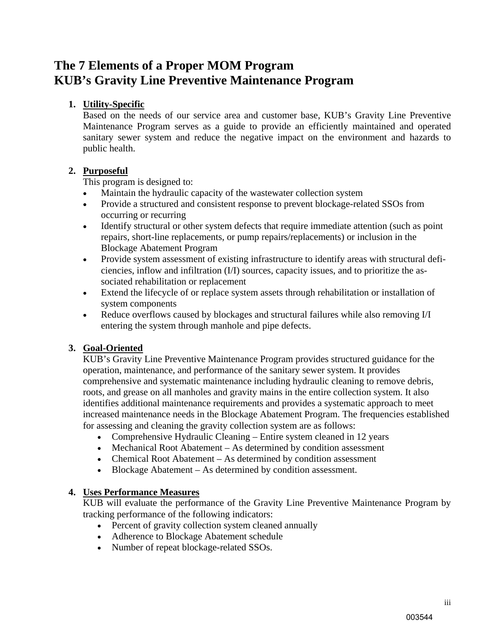# **The 7 Elements of a Proper MOM Program KUB's Gravity Line Preventive Maintenance Program**

#### **1. Utility-Specific**

Based on the needs of our service area and customer base, KUB's Gravity Line Preventive Maintenance Program serves as a guide to provide an efficiently maintained and operated sanitary sewer system and reduce the negative impact on the environment and hazards to public health.

#### **2. Purposeful**

This program is designed to:

- Maintain the hydraulic capacity of the wastewater collection system
- Provide a structured and consistent response to prevent blockage-related SSOs from occurring or recurring
- Identify structural or other system defects that require immediate attention (such as point repairs, short-line replacements, or pump repairs/replacements) or inclusion in the Blockage Abatement Program
- Provide system assessment of existing infrastructure to identify areas with structural deficiencies, inflow and infiltration (I/I) sources, capacity issues, and to prioritize the associated rehabilitation or replacement
- Extend the lifecycle of or replace system assets through rehabilitation or installation of system components
- Reduce overflows caused by blockages and structural failures while also removing I/I entering the system through manhole and pipe defects.

#### **3. Goal-Oriented**

KUB's Gravity Line Preventive Maintenance Program provides structured guidance for the operation, maintenance, and performance of the sanitary sewer system. It provides comprehensive and systematic maintenance including hydraulic cleaning to remove debris, roots, and grease on all manholes and gravity mains in the entire collection system. It also identifies additional maintenance requirements and provides a systematic approach to meet increased maintenance needs in the Blockage Abatement Program. The frequencies established for assessing and cleaning the gravity collection system are as follows:

- Comprehensive Hydraulic Cleaning Entire system cleaned in 12 years
- Mechanical Root Abatement As determined by condition assessment
- Chemical Root Abatement As determined by condition assessment
- Blockage Abatement As determined by condition assessment.

#### **4. Uses Performance Measures**

KUB will evaluate the performance of the Gravity Line Preventive Maintenance Program by tracking performance of the following indicators:

- Percent of gravity collection system cleaned annually
- Adherence to Blockage Abatement schedule
- Number of repeat blockage-related SSOs.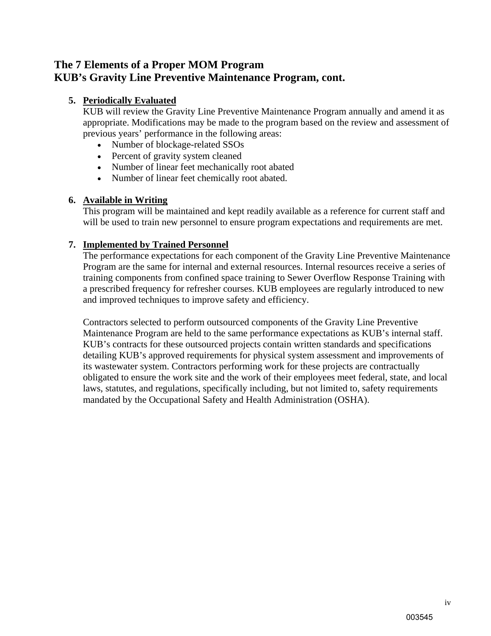# **The 7 Elements of a Proper MOM Program KUB's Gravity Line Preventive Maintenance Program, cont.**

#### **5. Periodically Evaluated**

KUB will review the Gravity Line Preventive Maintenance Program annually and amend it as appropriate. Modifications may be made to the program based on the review and assessment of previous years' performance in the following areas:

- Number of blockage-related SSOs
- Percent of gravity system cleaned
- Number of linear feet mechanically root abated
- Number of linear feet chemically root abated.

#### **6. Available in Writing**

This program will be maintained and kept readily available as a reference for current staff and will be used to train new personnel to ensure program expectations and requirements are met.

#### **7. Implemented by Trained Personnel**

The performance expectations for each component of the Gravity Line Preventive Maintenance Program are the same for internal and external resources. Internal resources receive a series of training components from confined space training to Sewer Overflow Response Training with a prescribed frequency for refresher courses. KUB employees are regularly introduced to new and improved techniques to improve safety and efficiency.

Contractors selected to perform outsourced components of the Gravity Line Preventive Maintenance Program are held to the same performance expectations as KUB's internal staff. KUB's contracts for these outsourced projects contain written standards and specifications detailing KUB's approved requirements for physical system assessment and improvements of its wastewater system. Contractors performing work for these projects are contractually obligated to ensure the work site and the work of their employees meet federal, state, and local laws, statutes, and regulations, specifically including, but not limited to, safety requirements mandated by the Occupational Safety and Health Administration (OSHA).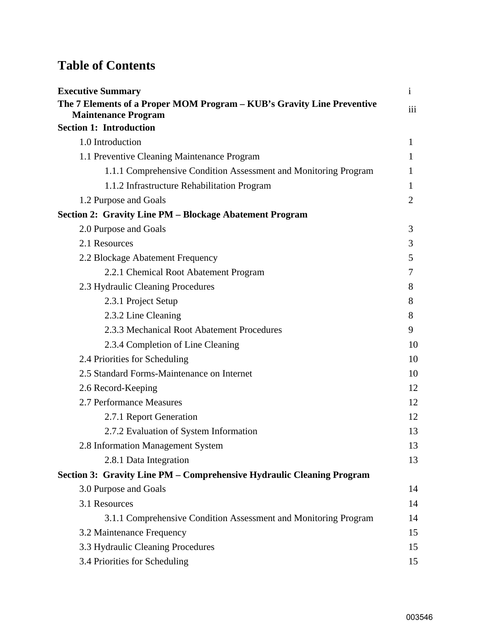# **Table of Contents**

| <b>Executive Summary</b>                                                                             | $\mathbf{i}$ |  |  |  |  |  |
|------------------------------------------------------------------------------------------------------|--------------|--|--|--|--|--|
| The 7 Elements of a Proper MOM Program – KUB's Gravity Line Preventive<br><b>Maintenance Program</b> |              |  |  |  |  |  |
| <b>Section 1: Introduction</b>                                                                       |              |  |  |  |  |  |
| 1.0 Introduction                                                                                     | 1            |  |  |  |  |  |
| 1.1 Preventive Cleaning Maintenance Program                                                          | 1            |  |  |  |  |  |
| 1.1.1 Comprehensive Condition Assessment and Monitoring Program                                      | 1            |  |  |  |  |  |
| 1.1.2 Infrastructure Rehabilitation Program                                                          | 1            |  |  |  |  |  |
| 1.2 Purpose and Goals                                                                                | 2            |  |  |  |  |  |
| <b>Section 2: Gravity Line PM - Blockage Abatement Program</b>                                       |              |  |  |  |  |  |
| 2.0 Purpose and Goals                                                                                | 3            |  |  |  |  |  |
| 2.1 Resources                                                                                        | 3            |  |  |  |  |  |
| 2.2 Blockage Abatement Frequency                                                                     | 5            |  |  |  |  |  |
| 2.2.1 Chemical Root Abatement Program                                                                | 7            |  |  |  |  |  |
| 2.3 Hydraulic Cleaning Procedures                                                                    | 8            |  |  |  |  |  |
| 2.3.1 Project Setup                                                                                  | 8            |  |  |  |  |  |
| 2.3.2 Line Cleaning                                                                                  | 8            |  |  |  |  |  |
| 2.3.3 Mechanical Root Abatement Procedures                                                           | 9            |  |  |  |  |  |
| 2.3.4 Completion of Line Cleaning                                                                    | 10           |  |  |  |  |  |
| 2.4 Priorities for Scheduling                                                                        | 10           |  |  |  |  |  |
| 2.5 Standard Forms-Maintenance on Internet                                                           | 10           |  |  |  |  |  |
| 2.6 Record-Keeping                                                                                   | 12           |  |  |  |  |  |
| 2.7 Performance Measures                                                                             | 12           |  |  |  |  |  |
| 2.7.1 Report Generation                                                                              | 12           |  |  |  |  |  |
| 2.7.2 Evaluation of System Information                                                               | 13           |  |  |  |  |  |
| 2.8 Information Management System                                                                    | 13           |  |  |  |  |  |
| 2.8.1 Data Integration                                                                               | 13           |  |  |  |  |  |
| Section 3: Gravity Line PM – Comprehensive Hydraulic Cleaning Program                                |              |  |  |  |  |  |
| 3.0 Purpose and Goals                                                                                | 14           |  |  |  |  |  |
| 3.1 Resources                                                                                        | 14           |  |  |  |  |  |
| 3.1.1 Comprehensive Condition Assessment and Monitoring Program                                      | 14           |  |  |  |  |  |
| 3.2 Maintenance Frequency                                                                            | 15           |  |  |  |  |  |
| 3.3 Hydraulic Cleaning Procedures                                                                    | 15           |  |  |  |  |  |
| 3.4 Priorities for Scheduling                                                                        | 15           |  |  |  |  |  |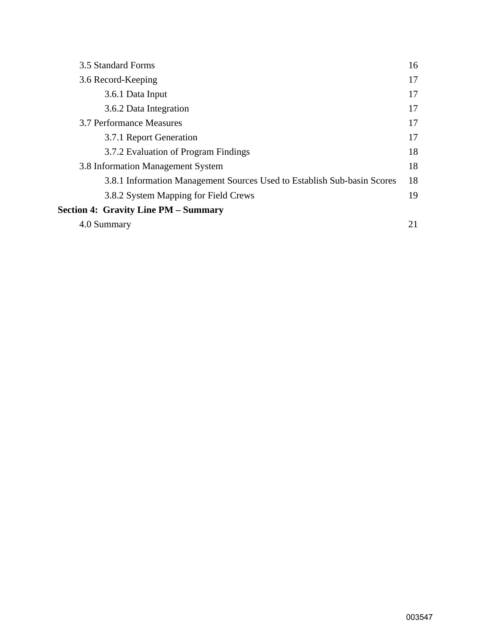| 3.5 Standard Forms                                                      | 16 |
|-------------------------------------------------------------------------|----|
| 3.6 Record-Keeping                                                      | 17 |
| 3.6.1 Data Input                                                        | 17 |
| 3.6.2 Data Integration                                                  | 17 |
| 3.7 Performance Measures                                                | 17 |
| 3.7.1 Report Generation                                                 | 17 |
| 3.7.2 Evaluation of Program Findings                                    | 18 |
| 3.8 Information Management System                                       | 18 |
| 3.8.1 Information Management Sources Used to Establish Sub-basin Scores | 18 |
| 3.8.2 System Mapping for Field Crews                                    | 19 |
| <b>Section 4: Gravity Line PM – Summary</b>                             |    |
| 4.0 Summary                                                             | 21 |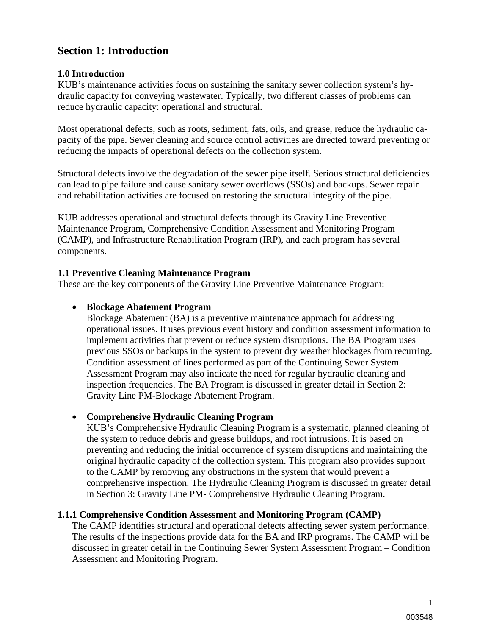# **Section 1: Introduction**

#### **1.0 Introduction**

KUB's maintenance activities focus on sustaining the sanitary sewer collection system's hydraulic capacity for conveying wastewater. Typically, two different classes of problems can reduce hydraulic capacity: operational and structural.

Most operational defects, such as roots, sediment, fats, oils, and grease, reduce the hydraulic capacity of the pipe. Sewer cleaning and source control activities are directed toward preventing or reducing the impacts of operational defects on the collection system.

Structural defects involve the degradation of the sewer pipe itself. Serious structural deficiencies can lead to pipe failure and cause sanitary sewer overflows (SSOs) and backups. Sewer repair and rehabilitation activities are focused on restoring the structural integrity of the pipe.

KUB addresses operational and structural defects through its Gravity Line Preventive Maintenance Program, Comprehensive Condition Assessment and Monitoring Program (CAMP), and Infrastructure Rehabilitation Program (IRP), and each program has several components.

#### **1.1 Preventive Cleaning Maintenance Program**

These are the key components of the Gravity Line Preventive Maintenance Program:

#### **Blockage Abatement Program**

Blockage Abatement (BA) is a preventive maintenance approach for addressing operational issues. It uses previous event history and condition assessment information to implement activities that prevent or reduce system disruptions. The BA Program uses previous SSOs or backups in the system to prevent dry weather blockages from recurring. Condition assessment of lines performed as part of the Continuing Sewer System Assessment Program may also indicate the need for regular hydraulic cleaning and inspection frequencies. The BA Program is discussed in greater detail in Section 2: Gravity Line PM-Blockage Abatement Program.

#### **Comprehensive Hydraulic Cleaning Program**

KUB's Comprehensive Hydraulic Cleaning Program is a systematic, planned cleaning of the system to reduce debris and grease buildups, and root intrusions. It is based on preventing and reducing the initial occurrence of system disruptions and maintaining the original hydraulic capacity of the collection system. This program also provides support to the CAMP by removing any obstructions in the system that would prevent a comprehensive inspection. The Hydraulic Cleaning Program is discussed in greater detail in Section 3: Gravity Line PM- Comprehensive Hydraulic Cleaning Program.

#### **1.1.1 Comprehensive Condition Assessment and Monitoring Program (CAMP)**

The CAMP identifies structural and operational defects affecting sewer system performance. The results of the inspections provide data for the BA and IRP programs. The CAMP will be discussed in greater detail in the Continuing Sewer System Assessment Program – Condition Assessment and Monitoring Program.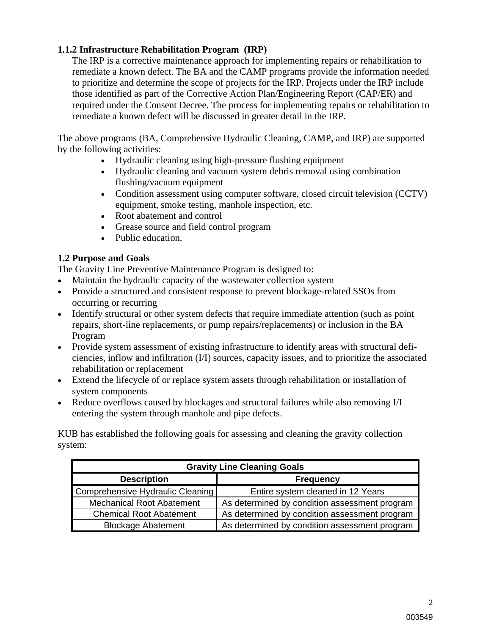#### **1.1.2 Infrastructure Rehabilitation Program (IRP)**

The IRP is a corrective maintenance approach for implementing repairs or rehabilitation to remediate a known defect. The BA and the CAMP programs provide the information needed to prioritize and determine the scope of projects for the IRP. Projects under the IRP include those identified as part of the Corrective Action Plan/Engineering Report (CAP/ER) and required under the Consent Decree. The process for implementing repairs or rehabilitation to remediate a known defect will be discussed in greater detail in the IRP.

The above programs (BA, Comprehensive Hydraulic Cleaning, CAMP, and IRP) are supported by the following activities:

- Hydraulic cleaning using high-pressure flushing equipment
- Hydraulic cleaning and vacuum system debris removal using combination flushing/vacuum equipment
- Condition assessment using computer software, closed circuit television (CCTV) equipment, smoke testing, manhole inspection, etc.
- Root abatement and control
- Grease source and field control program
- Public education.

#### **1.2 Purpose and Goals**

The Gravity Line Preventive Maintenance Program is designed to:

- Maintain the hydraulic capacity of the wastewater collection system
- Provide a structured and consistent response to prevent blockage-related SSOs from occurring or recurring
- Identify structural or other system defects that require immediate attention (such as point repairs, short-line replacements, or pump repairs/replacements) or inclusion in the BA Program
- Provide system assessment of existing infrastructure to identify areas with structural deficiencies, inflow and infiltration (I/I) sources, capacity issues, and to prioritize the associated rehabilitation or replacement
- Extend the lifecycle of or replace system assets through rehabilitation or installation of system components
- Reduce overflows caused by blockages and structural failures while also removing I/I entering the system through manhole and pipe defects.

KUB has established the following goals for assessing and cleaning the gravity collection system:

| <b>Gravity Line Cleaning Goals</b> |                                               |  |  |  |  |  |
|------------------------------------|-----------------------------------------------|--|--|--|--|--|
| <b>Description</b>                 | <b>Frequency</b>                              |  |  |  |  |  |
| Comprehensive Hydraulic Cleaning   | Entire system cleaned in 12 Years             |  |  |  |  |  |
| <b>Mechanical Root Abatement</b>   | As determined by condition assessment program |  |  |  |  |  |
| <b>Chemical Root Abatement</b>     | As determined by condition assessment program |  |  |  |  |  |
| <b>Blockage Abatement</b>          | As determined by condition assessment program |  |  |  |  |  |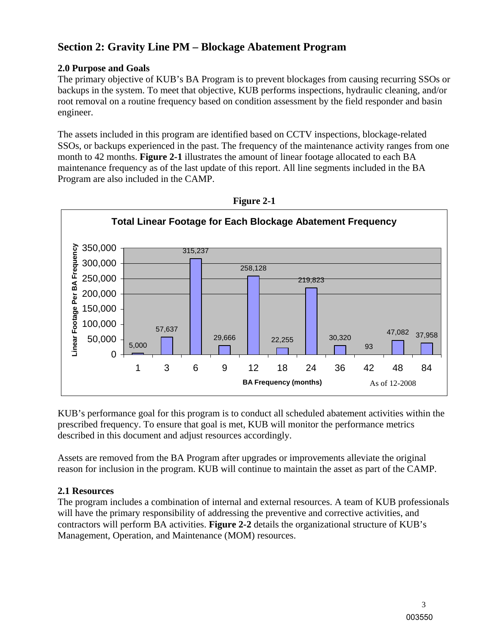# **Section 2: Gravity Line PM – Blockage Abatement Program**

### **2.0 Purpose and Goals**

The primary objective of KUB's BA Program is to prevent blockages from causing recurring SSOs or backups in the system. To meet that objective, KUB performs inspections, hydraulic cleaning, and/or root removal on a routine frequency based on condition assessment by the field responder and basin engineer.

The assets included in this program are identified based on CCTV inspections, blockage-related SSOs, or backups experienced in the past. The frequency of the maintenance activity ranges from one month to 42 months. **Figure 2-1** illustrates the amount of linear footage allocated to each BA maintenance frequency as of the last update of this report. All line segments included in the BA Program are also included in the CAMP.





KUB's performance goal for this program is to conduct all scheduled abatement activities within the prescribed frequency. To ensure that goal is met, KUB will monitor the performance metrics described in this document and adjust resources accordingly.

Assets are removed from the BA Program after upgrades or improvements alleviate the original reason for inclusion in the program. KUB will continue to maintain the asset as part of the CAMP.

# **2.1 Resources**

The program includes a combination of internal and external resources. A team of KUB professionals will have the primary responsibility of addressing the preventive and corrective activities, and contractors will perform BA activities. **Figure 2-2** details the organizational structure of KUB's Management, Operation, and Maintenance (MOM) resources.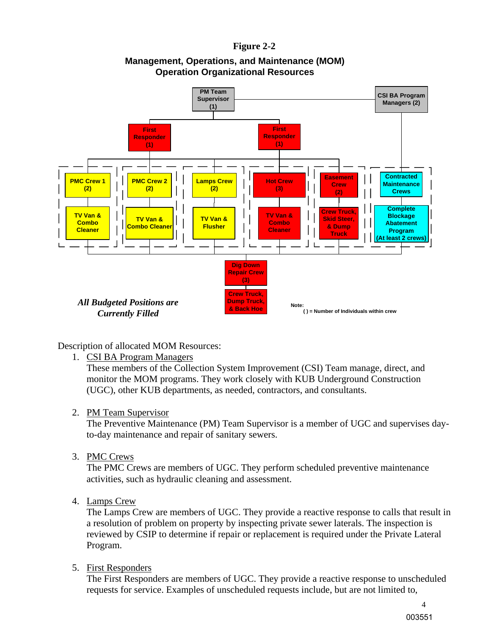#### **Figure 2-2**



## **Management, Operations, and Maintenance (MOM) Operation Organizational Resources**

Description of allocated MOM Resources:

1. CSI BA Program Managers

These members of the Collection System Improvement (CSI) Team manage, direct, and monitor the MOM programs. They work closely with KUB Underground Construction (UGC), other KUB departments, as needed, contractors, and consultants.

#### 2. PM Team Supervisor

The Preventive Maintenance (PM) Team Supervisor is a member of UGC and supervises dayto-day maintenance and repair of sanitary sewers.

3. PMC Crews

The PMC Crews are members of UGC. They perform scheduled preventive maintenance activities, such as hydraulic cleaning and assessment.

4. Lamps Crew

The Lamps Crew are members of UGC. They provide a reactive response to calls that result in a resolution of problem on property by inspecting private sewer laterals. The inspection is reviewed by CSIP to determine if repair or replacement is required under the Private Lateral Program.

5. First Responders

The First Responders are members of UGC. They provide a reactive response to unscheduled requests for service. Examples of unscheduled requests include, but are not limited to,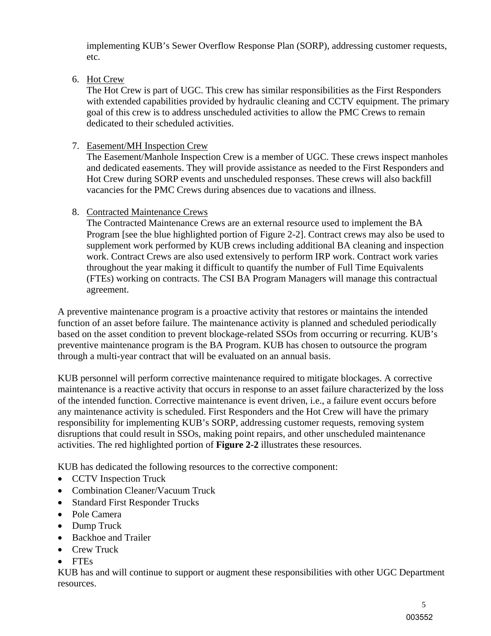implementing KUB's Sewer Overflow Response Plan (SORP), addressing customer requests, etc.

6. Hot Crew

The Hot Crew is part of UGC. This crew has similar responsibilities as the First Responders with extended capabilities provided by hydraulic cleaning and CCTV equipment. The primary goal of this crew is to address unscheduled activities to allow the PMC Crews to remain dedicated to their scheduled activities.

7. Easement/MH Inspection Crew

The Easement/Manhole Inspection Crew is a member of UGC. These crews inspect manholes and dedicated easements. They will provide assistance as needed to the First Responders and Hot Crew during SORP events and unscheduled responses. These crews will also backfill vacancies for the PMC Crews during absences due to vacations and illness.

8. Contracted Maintenance Crews

The Contracted Maintenance Crews are an external resource used to implement the BA Program [see the blue highlighted portion of Figure 2-2]. Contract crews may also be used to supplement work performed by KUB crews including additional BA cleaning and inspection work. Contract Crews are also used extensively to perform IRP work. Contract work varies throughout the year making it difficult to quantify the number of Full Time Equivalents (FTEs) working on contracts. The CSI BA Program Managers will manage this contractual agreement.

A preventive maintenance program is a proactive activity that restores or maintains the intended function of an asset before failure. The maintenance activity is planned and scheduled periodically based on the asset condition to prevent blockage-related SSOs from occurring or recurring. KUB's preventive maintenance program is the BA Program. KUB has chosen to outsource the program through a multi-year contract that will be evaluated on an annual basis.

KUB personnel will perform corrective maintenance required to mitigate blockages. A corrective maintenance is a reactive activity that occurs in response to an asset failure characterized by the loss of the intended function. Corrective maintenance is event driven, i.e., a failure event occurs before any maintenance activity is scheduled. First Responders and the Hot Crew will have the primary responsibility for implementing KUB's SORP, addressing customer requests, removing system disruptions that could result in SSOs, making point repairs, and other unscheduled maintenance activities. The red highlighted portion of **Figure 2-2** illustrates these resources.

KUB has dedicated the following resources to the corrective component:

- CCTV Inspection Truck
- Combination Cleaner/Vacuum Truck
- Standard First Responder Trucks
- Pole Camera
- Dump Truck
- Backhoe and Trailer
- Crew Truck
- FTEs

KUB has and will continue to support or augment these responsibilities with other UGC Department resources.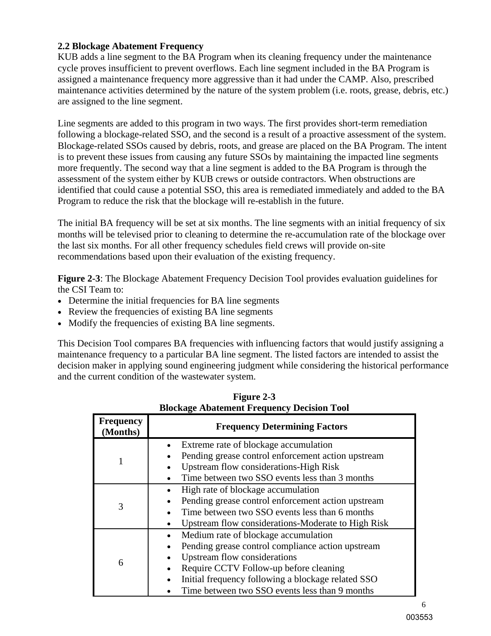#### **2.2 Blockage Abatement Frequency**

KUB adds a line segment to the BA Program when its cleaning frequency under the maintenance cycle proves insufficient to prevent overflows. Each line segment included in the BA Program is assigned a maintenance frequency more aggressive than it had under the CAMP. Also, prescribed maintenance activities determined by the nature of the system problem (i.e. roots, grease, debris, etc.) are assigned to the line segment.

Line segments are added to this program in two ways. The first provides short-term remediation following a blockage-related SSO, and the second is a result of a proactive assessment of the system. Blockage-related SSOs caused by debris, roots, and grease are placed on the BA Program. The intent is to prevent these issues from causing any future SSOs by maintaining the impacted line segments more frequently. The second way that a line segment is added to the BA Program is through the assessment of the system either by KUB crews or outside contractors. When obstructions are identified that could cause a potential SSO, this area is remediated immediately and added to the BA Program to reduce the risk that the blockage will re-establish in the future.

The initial BA frequency will be set at six months. The line segments with an initial frequency of six months will be televised prior to cleaning to determine the re-accumulation rate of the blockage over the last six months. For all other frequency schedules field crews will provide on-site recommendations based upon their evaluation of the existing frequency.

**Figure 2-3**: The Blockage Abatement Frequency Decision Tool provides evaluation guidelines for the CSI Team to:

- Determine the initial frequencies for BA line segments
- Review the frequencies of existing BA line segments
- Modify the frequencies of existing BA line segments.

This Decision Tool compares BA frequencies with influencing factors that would justify assigning a maintenance frequency to a particular BA line segment. The listed factors are intended to assist the decision maker in applying sound engineering judgment while considering the historical performance and the current condition of the wastewater system.

|                              | BIOCKAGE ADATEMENT F requency Decision 1001                                                                                                                                                                                                                                              |
|------------------------------|------------------------------------------------------------------------------------------------------------------------------------------------------------------------------------------------------------------------------------------------------------------------------------------|
| <b>Frequency</b><br>(Months) | <b>Frequency Determining Factors</b>                                                                                                                                                                                                                                                     |
|                              | Extreme rate of blockage accumulation<br>Pending grease control enforcement action upstream<br><b>Upstream flow considerations-High Risk</b><br>Time between two SSO events less than 3 months                                                                                           |
| 3                            | High rate of blockage accumulation<br>Pending grease control enforcement action upstream<br>Time between two SSO events less than 6 months<br>Upstream flow considerations-Moderate to High Risk                                                                                         |
| 6                            | Medium rate of blockage accumulation<br>$\bullet$<br>Pending grease control compliance action upstream<br>Upstream flow considerations<br>Require CCTV Follow-up before cleaning<br>Initial frequency following a blockage related SSO<br>Time between two SSO events less than 9 months |

**Figure 2-3 Blockage Abatement Frequency Decision Tool**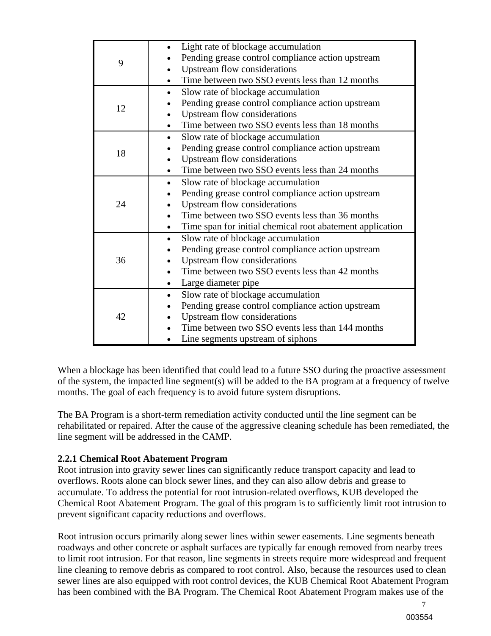| 9  | Light rate of blockage accumulation<br>Pending grease control compliance action upstream<br>Upstream flow considerations<br>Time between two SSO events less than 12 months                                                                                       |
|----|-------------------------------------------------------------------------------------------------------------------------------------------------------------------------------------------------------------------------------------------------------------------|
| 12 | Slow rate of blockage accumulation<br>$\bullet$<br>Pending grease control compliance action upstream<br>Upstream flow considerations<br>Time between two SSO events less than 18 months                                                                           |
| 18 | Slow rate of blockage accumulation<br>Pending grease control compliance action upstream<br>Upstream flow considerations<br>Time between two SSO events less than 24 months                                                                                        |
| 24 | Slow rate of blockage accumulation<br>$\bullet$<br>Pending grease control compliance action upstream<br>Upstream flow considerations<br>$\bullet$<br>Time between two SSO events less than 36 months<br>Time span for initial chemical root abatement application |
| 36 | Slow rate of blockage accumulation<br>$\bullet$<br>Pending grease control compliance action upstream<br>Upstream flow considerations<br>Time between two SSO events less than 42 months<br>Large diameter pipe                                                    |
| 42 | Slow rate of blockage accumulation<br>$\bullet$<br>Pending grease control compliance action upstream<br>Upstream flow considerations<br>Time between two SSO events less than 144 months<br>Line segments upstream of siphons                                     |

When a blockage has been identified that could lead to a future SSO during the proactive assessment of the system, the impacted line segment(s) will be added to the BA program at a frequency of twelve months. The goal of each frequency is to avoid future system disruptions.

The BA Program is a short-term remediation activity conducted until the line segment can be rehabilitated or repaired. After the cause of the aggressive cleaning schedule has been remediated, the line segment will be addressed in the CAMP.

#### **2.2.1 Chemical Root Abatement Program**

Root intrusion into gravity sewer lines can significantly reduce transport capacity and lead to overflows. Roots alone can block sewer lines, and they can also allow debris and grease to accumulate. To address the potential for root intrusion-related overflows, KUB developed the Chemical Root Abatement Program. The goal of this program is to sufficiently limit root intrusion to prevent significant capacity reductions and overflows.

Root intrusion occurs primarily along sewer lines within sewer easements. Line segments beneath roadways and other concrete or asphalt surfaces are typically far enough removed from nearby trees to limit root intrusion. For that reason, line segments in streets require more widespread and frequent line cleaning to remove debris as compared to root control. Also, because the resources used to clean sewer lines are also equipped with root control devices, the KUB Chemical Root Abatement Program has been combined with the BA Program. The Chemical Root Abatement Program makes use of the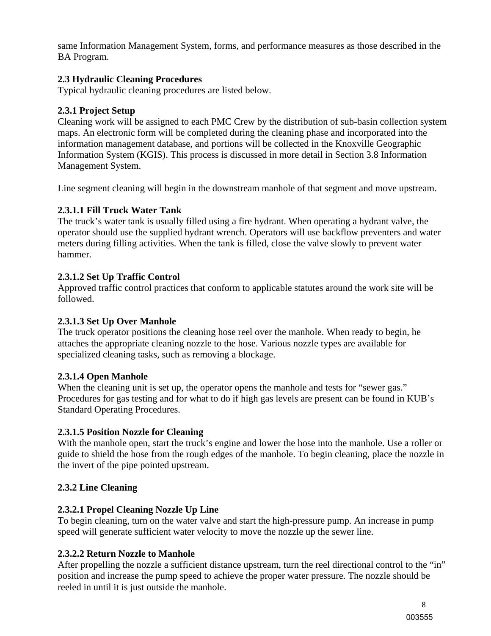same Information Management System, forms, and performance measures as those described in the BA Program.

#### **2.3 Hydraulic Cleaning Procedures**

Typical hydraulic cleaning procedures are listed below.

#### **2.3.1 Project Setup**

Cleaning work will be assigned to each PMC Crew by the distribution of sub-basin collection system maps. An electronic form will be completed during the cleaning phase and incorporated into the information management database, and portions will be collected in the Knoxville Geographic Information System (KGIS). This process is discussed in more detail in Section 3.8 Information Management System.

Line segment cleaning will begin in the downstream manhole of that segment and move upstream.

#### **2.3.1.1 Fill Truck Water Tank**

The truck's water tank is usually filled using a fire hydrant. When operating a hydrant valve, the operator should use the supplied hydrant wrench. Operators will use backflow preventers and water meters during filling activities. When the tank is filled, close the valve slowly to prevent water hammer.

#### **2.3.1.2 Set Up Traffic Control**

Approved traffic control practices that conform to applicable statutes around the work site will be followed.

#### **2.3.1.3 Set Up Over Manhole**

The truck operator positions the cleaning hose reel over the manhole. When ready to begin, he attaches the appropriate cleaning nozzle to the hose. Various nozzle types are available for specialized cleaning tasks, such as removing a blockage.

#### **2.3.1.4 Open Manhole**

When the cleaning unit is set up, the operator opens the manhole and tests for "sewer gas." Procedures for gas testing and for what to do if high gas levels are present can be found in KUB's Standard Operating Procedures.

#### **2.3.1.5 Position Nozzle for Cleaning**

With the manhole open, start the truck's engine and lower the hose into the manhole. Use a roller or guide to shield the hose from the rough edges of the manhole. To begin cleaning, place the nozzle in the invert of the pipe pointed upstream.

#### **2.3.2 Line Cleaning**

#### **2.3.2.1 Propel Cleaning Nozzle Up Line**

To begin cleaning, turn on the water valve and start the high-pressure pump. An increase in pump speed will generate sufficient water velocity to move the nozzle up the sewer line.

#### **2.3.2.2 Return Nozzle to Manhole**

After propelling the nozzle a sufficient distance upstream, turn the reel directional control to the "in" position and increase the pump speed to achieve the proper water pressure. The nozzle should be reeled in until it is just outside the manhole.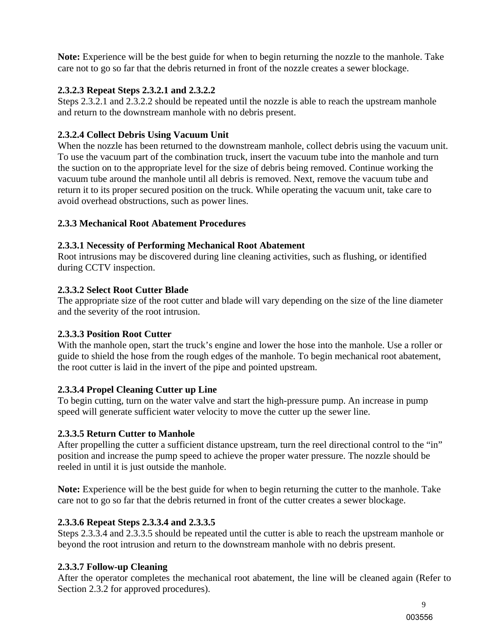**Note:** Experience will be the best guide for when to begin returning the nozzle to the manhole. Take care not to go so far that the debris returned in front of the nozzle creates a sewer blockage.

#### **2.3.2.3 Repeat Steps 2.3.2.1 and 2.3.2.2**

Steps 2.3.2.1 and 2.3.2.2 should be repeated until the nozzle is able to reach the upstream manhole and return to the downstream manhole with no debris present.

#### **2.3.2.4 Collect Debris Using Vacuum Unit**

When the nozzle has been returned to the downstream manhole, collect debris using the vacuum unit. To use the vacuum part of the combination truck, insert the vacuum tube into the manhole and turn the suction on to the appropriate level for the size of debris being removed. Continue working the vacuum tube around the manhole until all debris is removed. Next, remove the vacuum tube and return it to its proper secured position on the truck. While operating the vacuum unit, take care to avoid overhead obstructions, such as power lines.

#### **2.3.3 Mechanical Root Abatement Procedures**

#### **2.3.3.1 Necessity of Performing Mechanical Root Abatement**

Root intrusions may be discovered during line cleaning activities, such as flushing, or identified during CCTV inspection.

#### **2.3.3.2 Select Root Cutter Blade**

The appropriate size of the root cutter and blade will vary depending on the size of the line diameter and the severity of the root intrusion.

#### **2.3.3.3 Position Root Cutter**

With the manhole open, start the truck's engine and lower the hose into the manhole. Use a roller or guide to shield the hose from the rough edges of the manhole. To begin mechanical root abatement, the root cutter is laid in the invert of the pipe and pointed upstream.

#### **2.3.3.4 Propel Cleaning Cutter up Line**

To begin cutting, turn on the water valve and start the high-pressure pump. An increase in pump speed will generate sufficient water velocity to move the cutter up the sewer line.

#### **2.3.3.5 Return Cutter to Manhole**

After propelling the cutter a sufficient distance upstream, turn the reel directional control to the "in" position and increase the pump speed to achieve the proper water pressure. The nozzle should be reeled in until it is just outside the manhole.

**Note:** Experience will be the best guide for when to begin returning the cutter to the manhole. Take care not to go so far that the debris returned in front of the cutter creates a sewer blockage.

#### **2.3.3.6 Repeat Steps 2.3.3.4 and 2.3.3.5**

Steps 2.3.3.4 and 2.3.3.5 should be repeated until the cutter is able to reach the upstream manhole or beyond the root intrusion and return to the downstream manhole with no debris present.

#### **2.3.3.7 Follow-up Cleaning**

After the operator completes the mechanical root abatement, the line will be cleaned again (Refer to Section 2.3.2 for approved procedures).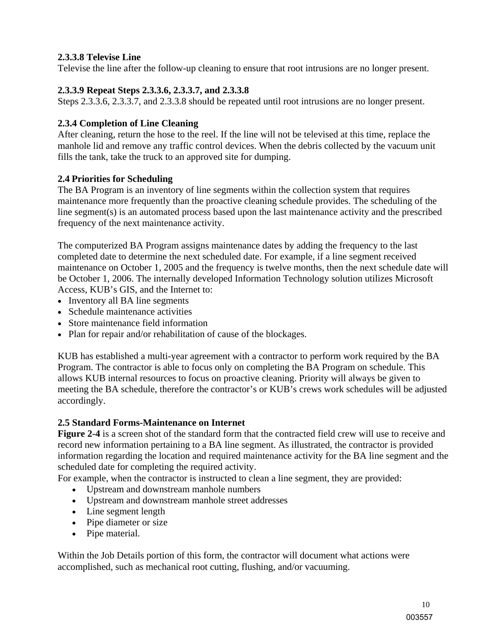#### **2.3.3.8 Televise Line**

Televise the line after the follow-up cleaning to ensure that root intrusions are no longer present.

#### **2.3.3.9 Repeat Steps 2.3.3.6, 2.3.3.7, and 2.3.3.8**

Steps 2.3.3.6, 2.3.3.7, and 2.3.3.8 should be repeated until root intrusions are no longer present.

#### **2.3.4 Completion of Line Cleaning**

After cleaning, return the hose to the reel. If the line will not be televised at this time, replace the manhole lid and remove any traffic control devices. When the debris collected by the vacuum unit fills the tank, take the truck to an approved site for dumping.

#### **2.4 Priorities for Scheduling**

The BA Program is an inventory of line segments within the collection system that requires maintenance more frequently than the proactive cleaning schedule provides. The scheduling of the line segment(s) is an automated process based upon the last maintenance activity and the prescribed frequency of the next maintenance activity.

The computerized BA Program assigns maintenance dates by adding the frequency to the last completed date to determine the next scheduled date. For example, if a line segment received maintenance on October 1, 2005 and the frequency is twelve months, then the next schedule date will be October 1, 2006. The internally developed Information Technology solution utilizes Microsoft Access, KUB's GIS, and the Internet to:

- Inventory all BA line segments
- Schedule maintenance activities
- Store maintenance field information
- Plan for repair and/or rehabilitation of cause of the blockages.

KUB has established a multi-year agreement with a contractor to perform work required by the BA Program. The contractor is able to focus only on completing the BA Program on schedule. This allows KUB internal resources to focus on proactive cleaning. Priority will always be given to meeting the BA schedule, therefore the contractor's or KUB's crews work schedules will be adjusted accordingly.

#### **2.5 Standard Forms-Maintenance on Internet**

**Figure 2-4** is a screen shot of the standard form that the contracted field crew will use to receive and record new information pertaining to a BA line segment. As illustrated, the contractor is provided information regarding the location and required maintenance activity for the BA line segment and the scheduled date for completing the required activity.

For example, when the contractor is instructed to clean a line segment, they are provided:

- Upstream and downstream manhole numbers
- Upstream and downstream manhole street addresses
- Line segment length
- Pipe diameter or size
- Pipe material.

Within the Job Details portion of this form, the contractor will document what actions were accomplished, such as mechanical root cutting, flushing, and/or vacuuming.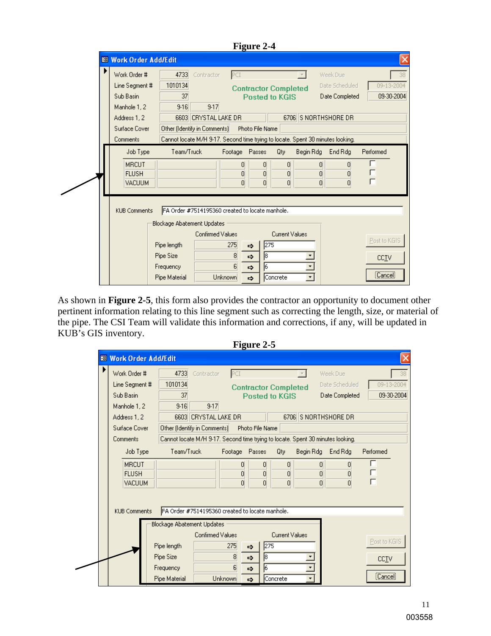|  |                                                                                                          |                                                                                             |                                                                                                                                                                 |                               | <b>Figure 2-4</b>                                                                         |                                                      |                          |                                              |                                  |    |
|--|----------------------------------------------------------------------------------------------------------|---------------------------------------------------------------------------------------------|-----------------------------------------------------------------------------------------------------------------------------------------------------------------|-------------------------------|-------------------------------------------------------------------------------------------|------------------------------------------------------|--------------------------|----------------------------------------------|----------------------------------|----|
|  | <b>88 Work Order Add/Edit</b>                                                                            |                                                                                             |                                                                                                                                                                 |                               |                                                                                           |                                                      |                          |                                              |                                  |    |
|  | Work Order #<br>Line Segment #<br>Sub Basin<br>Manhole 1, 2<br>Address 1, 2<br>Surface Cover<br>Comments | 4733<br>1010134<br>37<br>$9 - 16$                                                           | Contractor<br>$9-17$<br>6603 CRYSTAL LAKE DR<br>Other (Identify in Comments)<br>Cannot locate M/H 9-17. Second time trying to locate. Spent 30 minutes looking. | PCI                           | Photo File Name                                                                           | <b>Contractor Completed</b><br><b>Posted to KGIS</b> | 6706 S NORTHSHORE DR     | Week Due<br>Date Scheduled<br>Date Completed | 09-13-2004<br>09-30-2004         | 38 |
|  | Job Type<br><b>MRCUT</b><br><b>FLUSH</b><br>VACUUM                                                       | Team/Truck                                                                                  |                                                                                                                                                                 | Footage Passes<br>0<br>0<br>n | $\overline{0}$<br>$\overline{0}$<br>$\Omega$                                              | Qty<br>$\vert 0 \vert$<br>$\overline{0}$<br>$\Omega$ | Begin Rdg<br>0<br>0<br>0 | End Rdg<br>0<br>0<br>$\Omega$                | Performed<br>г                   |    |
|  | <b>KUB Comments</b>                                                                                      | <b>Blockage Abatement Updates</b><br>Pipe length<br>Pipe Size<br>Frequency<br>Pipe Material | FA Order #7514195360 created to locate manhole.<br>Confirmed Values<br>Unknown                                                                                  | 275<br>8<br>6                 | 275<br>$\Rightarrow$<br>$\vert$ 8<br>$\Rightarrow$<br>6<br>$\Rightarrow$<br>$\Rightarrow$ | <b>Current Values</b><br>Concrete                    | ▾                        |                                              | Post to KGIS<br>CCIV<br>[Cancel] |    |

As shown in **Figure 2-5**, this form also provides the contractor an opportunity to document other pertinent information relating to this line segment such as correcting the length, size, or material of the pipe. The CSI Team will validate this information and corrections, if any, will be updated in KUB's GIS inventory. **Figure 2-5** 

|                               |                                                                               |                      |                | $\Gamma$ igult $\mathcal{L}$ - $\mathcal{I}$ |                             |           |                                                                                 |               |
|-------------------------------|-------------------------------------------------------------------------------|----------------------|----------------|----------------------------------------------|-----------------------------|-----------|---------------------------------------------------------------------------------|---------------|
| <b>88 Work Order Add/Edit</b> |                                                                               |                      |                |                                              |                             |           |                                                                                 |               |
| ▶<br>Work Order #             | 4733                                                                          | Contractor           | PCI            |                                              |                             |           | Week Due                                                                        |               |
| Line Segment #                | 1010134                                                                       |                      |                |                                              | <b>Contractor Completed</b> |           | Date Scheduled                                                                  | 09-13-2004    |
| Sub Basin                     | 37                                                                            |                      |                |                                              | <b>Posted to KGIS</b>       |           | Date Completed                                                                  | 09-30-2004    |
| Manhole 1, 2                  | $9 - 16$                                                                      | $9-17$               |                |                                              |                             |           |                                                                                 |               |
| Address 1, 2                  |                                                                               | 6603 CRYSTAL LAKE DR |                |                                              |                             |           | 6706 S NORTHSHORE DR                                                            |               |
| Surface Cover                 | Other (Identify in Comments)                                                  |                      |                | Photo File Name                              |                             |           |                                                                                 |               |
| <b>Comments</b>               |                                                                               |                      |                |                                              |                             |           | Cannot locate M/H 9-17. Second time trying to locate. Spent 30 minutes looking. |               |
| Job Type                      | Team/Truck                                                                    |                      | Footage Passes |                                              | Qty                         | Begin Rdg | End Rdg                                                                         | Performed     |
| <b>MRCUT</b>                  |                                                                               |                      | 0              | $\overline{0}$                               | 0                           | 0         | 0                                                                               | г             |
| <b>FLUSH</b>                  |                                                                               |                      | 0              | $\overline{0}$                               | $\overline{0}$              | 0         | 0                                                                               | г             |
| <b>VACUUM</b>                 |                                                                               |                      | n              | $\overline{0}$                               | $\Omega$                    | 0         | 0                                                                               | г             |
| <b>KUB Comments</b>           | FA Order #7514195360 created to locate manhole.<br>Blockage Abatement Updates |                      |                |                                              |                             |           |                                                                                 |               |
|                               |                                                                               | Confirmed Values     |                |                                              | <b>Current Values</b>       |           |                                                                                 | Post to KGIS  |
|                               | Pipe length                                                                   |                      | 275            | $\Rightarrow$                                | 275                         |           |                                                                                 |               |
|                               | Pipe Size                                                                     |                      | 8              | 18<br>$\Rightarrow$                          |                             |           |                                                                                 | CC <u>T</u> V |
|                               | Frequency                                                                     |                      | 6              | l6.<br>$\Rightarrow$                         |                             | ۰.        |                                                                                 | [Cancel]      |
|                               | Pipe Material                                                                 |                      | Unknown        | $\Rightarrow$                                | Concrete                    | ۰         |                                                                                 |               |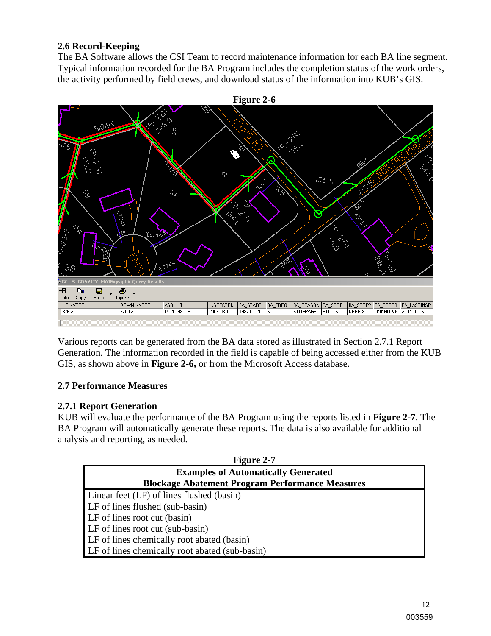#### **2.6 Record-Keeping**

The BA Software allows the CSI Team to record maintenance information for each BA line segment. Typical information recorded for the BA Program includes the completion status of the work orders, the activity performed by field crews, and download status of the information into KUB's GIS.



Various reports can be generated from the BA data stored as illustrated in Section 2.7.1 Report Generation. The information recorded in the field is capable of being accessed either from the KUB GIS, as shown above in **Figure 2-6,** or from the Microsoft Access database.

#### **2.7 Performance Measures**

#### **2.7.1 Report Generation**

KUB will evaluate the performance of the BA Program using the reports listed in **Figure 2-7**. The BA Program will automatically generate these reports. The data is also available for additional analysis and reporting, as needed.

| <b>Figure 2-7</b>                                      |
|--------------------------------------------------------|
| <b>Examples of Automatically Generated</b>             |
| <b>Blockage Abatement Program Performance Measures</b> |
| Linear feet (LF) of lines flushed (basin)              |
| LF of lines flushed (sub-basin)                        |
| LF of lines root cut (basin)                           |
| LF of lines root cut (sub-basin)                       |
| LF of lines chemically root abated (basin)             |
| LF of lines chemically root abated (sub-basin)         |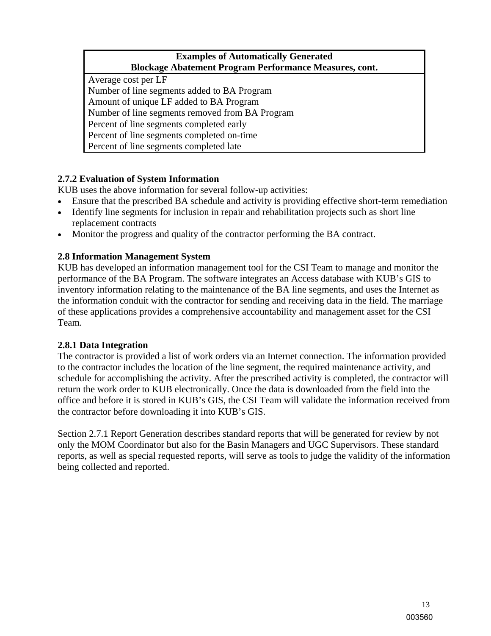#### **Examples of Automatically Generated Blockage Abatement Program Performance Measures, cont.**

Average cost per LF Number of line segments added to BA Program Amount of unique LF added to BA Program Number of line segments removed from BA Program Percent of line segments completed early Percent of line segments completed on-time Percent of line segments completed late

## **2.7.2 Evaluation of System Information**

KUB uses the above information for several follow-up activities:

- Ensure that the prescribed BA schedule and activity is providing effective short-term remediation
- Identify line segments for inclusion in repair and rehabilitation projects such as short line replacement contracts
- Monitor the progress and quality of the contractor performing the BA contract.

#### **2.8 Information Management System**

KUB has developed an information management tool for the CSI Team to manage and monitor the performance of the BA Program. The software integrates an Access database with KUB's GIS to inventory information relating to the maintenance of the BA line segments, and uses the Internet as the information conduit with the contractor for sending and receiving data in the field. The marriage of these applications provides a comprehensive accountability and management asset for the CSI Team.

#### **2.8.1 Data Integration**

The contractor is provided a list of work orders via an Internet connection. The information provided to the contractor includes the location of the line segment, the required maintenance activity, and schedule for accomplishing the activity. After the prescribed activity is completed, the contractor will return the work order to KUB electronically. Once the data is downloaded from the field into the office and before it is stored in KUB's GIS, the CSI Team will validate the information received from the contractor before downloading it into KUB's GIS.

Section 2.7.1 Report Generation describes standard reports that will be generated for review by not only the MOM Coordinator but also for the Basin Managers and UGC Supervisors. These standard reports, as well as special requested reports, will serve as tools to judge the validity of the information being collected and reported.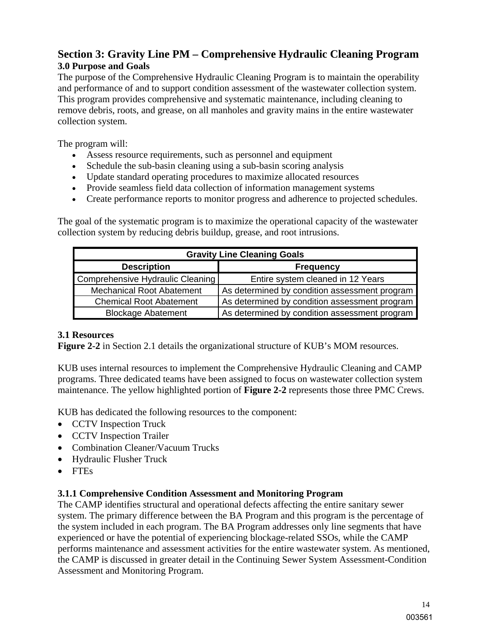# **Section 3: Gravity Line PM – Comprehensive Hydraulic Cleaning Program 3.0 Purpose and Goals**

The purpose of the Comprehensive Hydraulic Cleaning Program is to maintain the operability and performance of and to support condition assessment of the wastewater collection system. This program provides comprehensive and systematic maintenance, including cleaning to remove debris, roots, and grease, on all manholes and gravity mains in the entire wastewater collection system.

The program will:

- Assess resource requirements, such as personnel and equipment
- Schedule the sub-basin cleaning using a sub-basin scoring analysis
- Update standard operating procedures to maximize allocated resources
- Provide seamless field data collection of information management systems
- Create performance reports to monitor progress and adherence to projected schedules.

The goal of the systematic program is to maximize the operational capacity of the wastewater collection system by reducing debris buildup, grease, and root intrusions.

| <b>Gravity Line Cleaning Goals</b> |                                               |  |  |  |  |  |
|------------------------------------|-----------------------------------------------|--|--|--|--|--|
| <b>Description</b>                 | <b>Frequency</b>                              |  |  |  |  |  |
| Comprehensive Hydraulic Cleaning   | Entire system cleaned in 12 Years             |  |  |  |  |  |
| <b>Mechanical Root Abatement</b>   | As determined by condition assessment program |  |  |  |  |  |
| <b>Chemical Root Abatement</b>     | As determined by condition assessment program |  |  |  |  |  |
| <b>Blockage Abatement</b>          | As determined by condition assessment program |  |  |  |  |  |

#### **3.1 Resources**

**Figure 2-2** in Section 2.1 details the organizational structure of KUB's MOM resources.

KUB uses internal resources to implement the Comprehensive Hydraulic Cleaning and CAMP programs. Three dedicated teams have been assigned to focus on wastewater collection system maintenance. The yellow highlighted portion of **Figure 2-2** represents those three PMC Crews.

KUB has dedicated the following resources to the component:

- CCTV Inspection Truck
- CCTV Inspection Trailer
- Combination Cleaner/Vacuum Trucks
- Hydraulic Flusher Truck
- FTEs

#### **3.1.1 Comprehensive Condition Assessment and Monitoring Program**

The CAMP identifies structural and operational defects affecting the entire sanitary sewer system. The primary difference between the BA Program and this program is the percentage of the system included in each program. The BA Program addresses only line segments that have experienced or have the potential of experiencing blockage-related SSOs, while the CAMP performs maintenance and assessment activities for the entire wastewater system. As mentioned, the CAMP is discussed in greater detail in the Continuing Sewer System Assessment-Condition Assessment and Monitoring Program.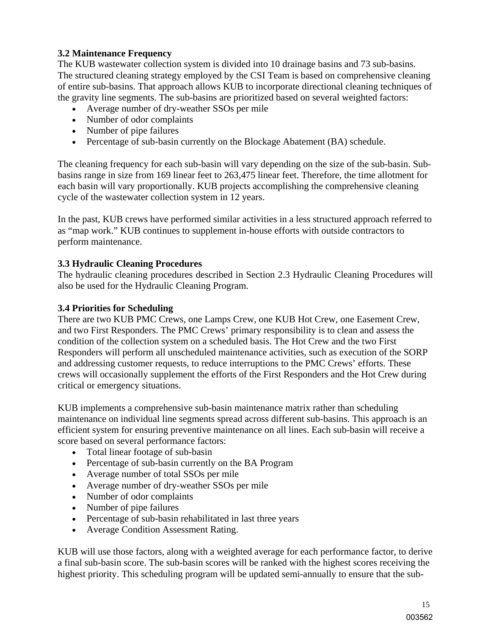#### **3.2 Maintenance Frequency**

The KUB wastewater collection system is divided into 10 drainage basins and 73 sub-basins. The structured cleaning strategy employed by the CSI Team is based on comprehensive cleaning of entire sub-basins. That approach allows KUB to incorporate directional cleaning techniques of the gravity line segments. The sub-basins are prioritized based on several weighted factors:

- Average number of dry-weather SSOs per mile
- Number of odor complaints
- Number of pipe failures
- Percentage of sub-basin currently on the Blockage Abatement (BA) schedule.

The cleaning frequency for each sub-basin will vary depending on the size of the sub-basin. Subbasins range in size from 169 linear feet to 263,475 linear feet. Therefore, the time allotment for each basin will vary proportionally. KUB projects accomplishing the comprehensive cleaning cycle of the wastewater collection system in 12 years.

In the past, KUB crews have performed similar activities in a less structured approach referred to as "map work." KUB continues to supplement in-house efforts with outside contractors to perform maintenance.

#### **3.3 Hydraulic Cleaning Procedures**

The hydraulic cleaning procedures described in Section 2.3 Hydraulic Cleaning Procedures will also be used for the Hydraulic Cleaning Program.

#### **3.4 Priorities for Scheduling**

There are two KUB PMC Crews, one Lamps Crew, one KUB Hot Crew, one Easement Crew, and two First Responders. The PMC Crews' primary responsibility is to clean and assess the condition of the collection system on a scheduled basis. The Hot Crew and the two First Responders will perform all unscheduled maintenance activities, such as execution of the SORP and addressing customer requests, to reduce interruptions to the PMC Crews' efforts. These crews will occasionally supplement the efforts of the First Responders and the Hot Crew during critical or emergency situations.

KUB implements a comprehensive sub-basin maintenance matrix rather than scheduling maintenance on individual line segments spread across different sub-basins. This approach is an efficient system for ensuring preventive maintenance on all lines. Each sub-basin will receive a score based on several performance factors:

- Total linear footage of sub-basin
- Percentage of sub-basin currently on the BA Program
- Average number of total SSOs per mile
- Average number of dry-weather SSOs per mile
- Number of odor complaints
- Number of pipe failures
- Percentage of sub-basin rehabilitated in last three years
- Average Condition Assessment Rating.

KUB will use those factors, along with a weighted average for each performance factor, to derive a final sub-basin score. The sub-basin scores will be ranked with the highest scores receiving the highest priority. This scheduling program will be updated semi-annually to ensure that the sub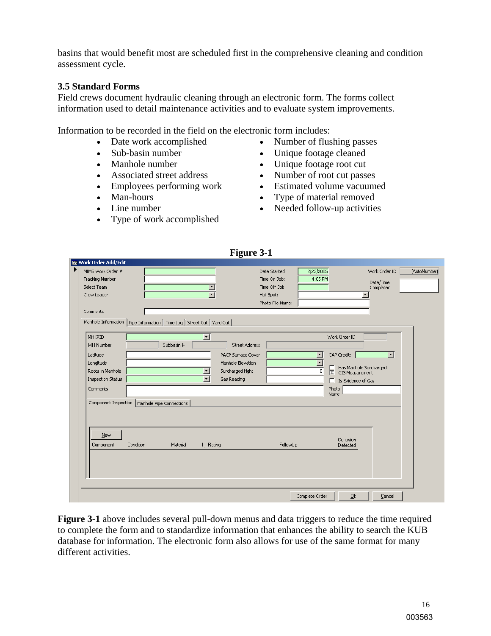basins that would benefit most are scheduled first in the comprehensive cleaning and condition assessment cycle.

#### **3.5 Standard Forms**

Field crews document hydraulic cleaning through an electronic form. The forms collect information used to detail maintenance activities and to evaluate system improvements.

Information to be recorded in the field on the electronic form includes:

- 
- 
- 
- 
- 
- 
- 
- Type of work accomplished
- Date work accomplished Number of flushing passes
	- Sub-basin number <br>
	Unique footage cleaned
- Manhole number Unique footage root cut
- Associated street address Number of root cut passes
- Employees performing work Estimated volume vacuumed
- Man-hours Type of material removed
- Line number Needed follow-up activities

|                          |                                                                           | <b>Figure 3-1</b>                                                                              |
|--------------------------|---------------------------------------------------------------------------|------------------------------------------------------------------------------------------------|
| 83 Work Order Add/Edit   |                                                                           |                                                                                                |
| MIMS Work Order #        |                                                                           | 2/22/2005<br>Work Order ID<br>[AutoNumber]<br>Date Started                                     |
| <b>Tracking Number</b>   |                                                                           | 4:05 PM<br>Time On Job:<br>Date/Time                                                           |
| Select Team              |                                                                           | Time Off Job:<br>Completed                                                                     |
| Crew Leader              |                                                                           | Hot Spot:                                                                                      |
|                          |                                                                           | Photo File Name:                                                                               |
| Comments                 |                                                                           |                                                                                                |
|                          | Manhole Information   Pipe Information   Time Log   Street Cut   Yard Cut |                                                                                                |
|                          |                                                                           |                                                                                                |
| MH IPID                  | $\bullet$<br>Subbasin #                                                   | Work Order ID                                                                                  |
| MH Number                | <b>Street Address</b>                                                     |                                                                                                |
| Latitude                 | PACP Surface Cover                                                        | CAP Credit:<br>$\vert \cdot \vert$<br>$\mathbf{r}$                                             |
| Longitude                | Manhole Elevation                                                         |                                                                                                |
| Roots in Manhole         | Surcharged Hght                                                           | Has Manhole Surcharged<br>GIS Measurement<br>$\sqrt{\frac{1}{2}}$<br>$\overline{\mathfrak{o}}$ |
| <b>Inspection Status</b> | Gas Reading                                                               | Is Evidence of Gas<br>E.                                                                       |
| Comments:                |                                                                           | Photo<br>Name                                                                                  |
|                          | Component Inspection   Manhole Pipe Connections                           |                                                                                                |
|                          |                                                                           |                                                                                                |
|                          |                                                                           |                                                                                                |
|                          |                                                                           |                                                                                                |
| New                      |                                                                           |                                                                                                |
| Component                | I.J Rating<br>Condition<br>Material                                       | Corrosion<br>FollowUp<br>Detected                                                              |
|                          |                                                                           |                                                                                                |
|                          |                                                                           |                                                                                                |
|                          |                                                                           |                                                                                                |
|                          |                                                                           |                                                                                                |
|                          |                                                                           |                                                                                                |
|                          |                                                                           | Complete Order<br>$\underline{\mathsf{Q}}\mathsf{k}$                                           |
|                          |                                                                           | Cancel                                                                                         |

**Figure 3-1** above includes several pull-down menus and data triggers to reduce the time required to complete the form and to standardize information that enhances the ability to search the KUB database for information. The electronic form also allows for use of the same format for many different activities.

#### **Figure 3-1**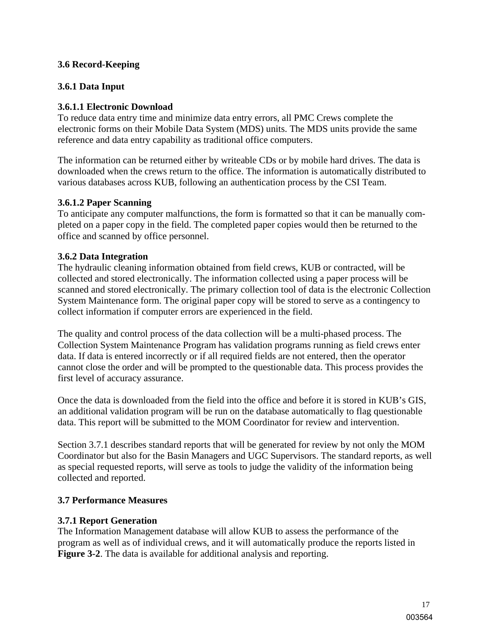#### **3.6 Record-Keeping**

#### **3.6.1 Data Input**

#### **3.6.1.1 Electronic Download**

To reduce data entry time and minimize data entry errors, all PMC Crews complete the electronic forms on their Mobile Data System (MDS) units. The MDS units provide the same reference and data entry capability as traditional office computers.

The information can be returned either by writeable CDs or by mobile hard drives. The data is downloaded when the crews return to the office. The information is automatically distributed to various databases across KUB, following an authentication process by the CSI Team.

#### **3.6.1.2 Paper Scanning**

To anticipate any computer malfunctions, the form is formatted so that it can be manually completed on a paper copy in the field. The completed paper copies would then be returned to the office and scanned by office personnel.

#### **3.6.2 Data Integration**

The hydraulic cleaning information obtained from field crews, KUB or contracted, will be collected and stored electronically. The information collected using a paper process will be scanned and stored electronically. The primary collection tool of data is the electronic Collection System Maintenance form. The original paper copy will be stored to serve as a contingency to collect information if computer errors are experienced in the field.

The quality and control process of the data collection will be a multi-phased process. The Collection System Maintenance Program has validation programs running as field crews enter data. If data is entered incorrectly or if all required fields are not entered, then the operator cannot close the order and will be prompted to the questionable data. This process provides the first level of accuracy assurance.

Once the data is downloaded from the field into the office and before it is stored in KUB's GIS, an additional validation program will be run on the database automatically to flag questionable data. This report will be submitted to the MOM Coordinator for review and intervention.

Section 3.7.1 describes standard reports that will be generated for review by not only the MOM Coordinator but also for the Basin Managers and UGC Supervisors. The standard reports, as well as special requested reports, will serve as tools to judge the validity of the information being collected and reported.

#### **3.7 Performance Measures**

#### **3.7.1 Report Generation**

The Information Management database will allow KUB to assess the performance of the program as well as of individual crews, and it will automatically produce the reports listed in **Figure 3-2**. The data is available for additional analysis and reporting.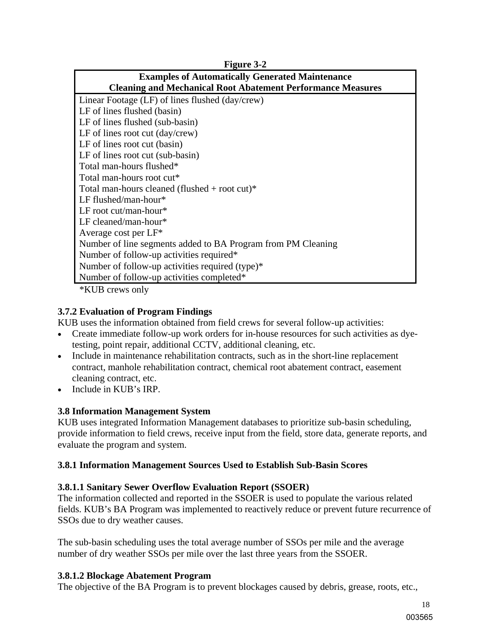| $1.1$ cult $3 - 2$                                                 |
|--------------------------------------------------------------------|
| <b>Examples of Automatically Generated Maintenance</b>             |
| <b>Cleaning and Mechanical Root Abatement Performance Measures</b> |
| Linear Footage (LF) of lines flushed (day/crew)                    |
| LF of lines flushed (basin)                                        |
| LF of lines flushed (sub-basin)                                    |
| LF of lines root cut $\frac{day}{crew}$                            |
| LF of lines root cut (basin)                                       |
| LF of lines root cut (sub-basin)                                   |
| Total man-hours flushed*                                           |
| Total man-hours root cut*                                          |
| Total man-hours cleaned (flushed + root cut)*                      |
| LF flushed/man-hour*                                               |
| LF root cut/man-hour*                                              |
| $LF$ cleaned/man-hour*                                             |
| Average cost per LF*                                               |
| Number of line segments added to BA Program from PM Cleaning       |
| Number of follow-up activities required*                           |
| Number of follow-up activities required (type)*                    |
| Number of follow-up activities completed*                          |
| $*IZIID$ anarria and $Irr$                                         |

**Figure 3-2** 

\*KUB crews only

#### **3.7.2 Evaluation of Program Findings**

KUB uses the information obtained from field crews for several follow-up activities:

- Create immediate follow-up work orders for in-house resources for such activities as dyetesting, point repair, additional CCTV, additional cleaning, etc.
- Include in maintenance rehabilitation contracts, such as in the short-line replacement contract, manhole rehabilitation contract, chemical root abatement contract, easement cleaning contract, etc.
- Include in KUB's IRP.

#### **3.8 Information Management System**

KUB uses integrated Information Management databases to prioritize sub-basin scheduling, provide information to field crews, receive input from the field, store data, generate reports, and evaluate the program and system.

#### **3.8.1 Information Management Sources Used to Establish Sub-Basin Scores**

#### **3.8.1.1 Sanitary Sewer Overflow Evaluation Report (SSOER)**

The information collected and reported in the SSOER is used to populate the various related fields. KUB's BA Program was implemented to reactively reduce or prevent future recurrence of SSOs due to dry weather causes.

The sub-basin scheduling uses the total average number of SSOs per mile and the average number of dry weather SSOs per mile over the last three years from the SSOER.

#### **3.8.1.2 Blockage Abatement Program**

The objective of the BA Program is to prevent blockages caused by debris, grease, roots, etc.,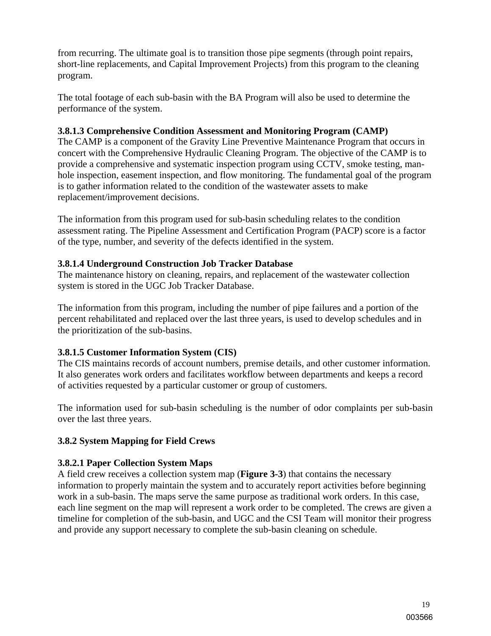from recurring. The ultimate goal is to transition those pipe segments (through point repairs, short-line replacements, and Capital Improvement Projects) from this program to the cleaning program.

The total footage of each sub-basin with the BA Program will also be used to determine the performance of the system.

#### **3.8.1.3 Comprehensive Condition Assessment and Monitoring Program (CAMP)**

The CAMP is a component of the Gravity Line Preventive Maintenance Program that occurs in concert with the Comprehensive Hydraulic Cleaning Program. The objective of the CAMP is to provide a comprehensive and systematic inspection program using CCTV, smoke testing, manhole inspection, easement inspection, and flow monitoring. The fundamental goal of the program is to gather information related to the condition of the wastewater assets to make replacement/improvement decisions.

The information from this program used for sub-basin scheduling relates to the condition assessment rating. The Pipeline Assessment and Certification Program (PACP) score is a factor of the type, number, and severity of the defects identified in the system.

#### **3.8.1.4 Underground Construction Job Tracker Database**

The maintenance history on cleaning, repairs, and replacement of the wastewater collection system is stored in the UGC Job Tracker Database.

The information from this program, including the number of pipe failures and a portion of the percent rehabilitated and replaced over the last three years, is used to develop schedules and in the prioritization of the sub-basins.

#### **3.8.1.5 Customer Information System (CIS)**

The CIS maintains records of account numbers, premise details, and other customer information. It also generates work orders and facilitates workflow between departments and keeps a record of activities requested by a particular customer or group of customers.

The information used for sub-basin scheduling is the number of odor complaints per sub-basin over the last three years.

#### **3.8.2 System Mapping for Field Crews**

#### **3.8.2.1 Paper Collection System Maps**

A field crew receives a collection system map (**Figure 3-3**) that contains the necessary information to properly maintain the system and to accurately report activities before beginning work in a sub-basin. The maps serve the same purpose as traditional work orders. In this case, each line segment on the map will represent a work order to be completed. The crews are given a timeline for completion of the sub-basin, and UGC and the CSI Team will monitor their progress and provide any support necessary to complete the sub-basin cleaning on schedule.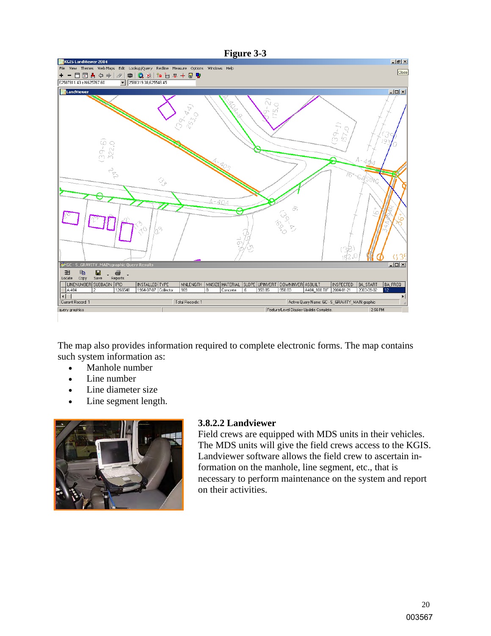

The map also provides information required to complete electronic forms. The map contains such system information as:

- Manhole number
- Line number
- Line diameter size
- Line segment length.



#### **3.8.2.2 Landviewer**

Field crews are equipped with MDS units in their vehicles. The MDS units will give the field crews access to the KGIS. Landviewer software allows the field crew to ascertain information on the manhole, line segment, etc., that is necessary to perform maintenance on the system and report on their activities.